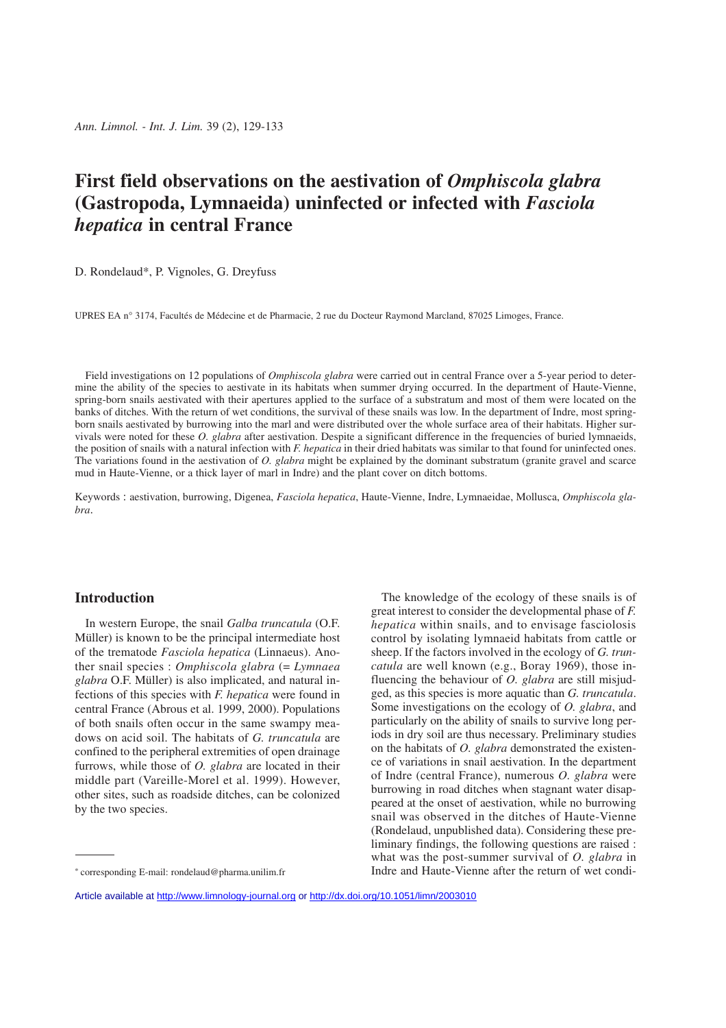# **First field observations on the aestivation of** *Omphiscola glabra* **(Gastropoda, Lymnaeida) uninfected or infected with** *Fasciola hepatica* **in central France**

D. Rondelaud\*, P. Vignoles, G. Dreyfuss

UPRES EA n° 3174, Facultés de Médecine et de Pharmacie, 2 rue du Docteur Raymond Marcland, 87025 Limoges, France.

Field investigations on 12 populations of *Omphiscola glabra* were carried out in central France over a 5-year period to determine the ability of the species to aestivate in its habitats when summer drying occurred. In the department of Haute-Vienne, spring-born snails aestivated with their apertures applied to the surface of a substratum and most of them were located on the banks of ditches. With the return of wet conditions, the survival of these snails was low. In the department of Indre, most springborn snails aestivated by burrowing into the marl and were distributed over the whole surface area of their habitats. Higher survivals were noted for these *O. glabra* after aestivation. Despite a significant difference in the frequencies of buried lymnaeids, the position of snails with a natural infection with *F. hepatica* in their dried habitats was similar to that found for uninfected ones. The variations found in the aestivation of *O. glabra* might be explained by the dominant substratum (granite gravel and scarce mud in Haute-Vienne, or a thick layer of marl in Indre) and the plant cover on ditch bottoms.

Keywords : aestivation, burrowing, Digenea, *Fasciola hepatica*, Haute-Vienne, Indre, Lymnaeidae, Mollusca, *Omphiscola glabra*.

# **Introduction**

In western Europe, the snail *Galba truncatula* (O.F. Müller) is known to be the principal intermediate host of the trematode *Fasciola hepatica* (Linnaeus). Another snail species : *Omphiscola glabra* (= *Lymnaea glabra* O.F. Müller) is also implicated, and natural infections of this species with *F. hepatica* were found in central France (Abrous et al. 1999, 2000). Populations of both snails often occur in the same swampy meadows on acid soil. The habitats of *G. truncatula* are confined to the peripheral extremities of open drainage furrows, while those of *O. glabra* are located in their middle part (Vareille-Morel et al. 1999). However, other sites, such as roadside ditches, can be colonized by the two species.

The knowledge of the ecology of these snails is of great interest to consider the developmental phase of *F. hepatica* within snails, and to envisage fasciolosis control by isolating lymnaeid habitats from cattle or sheep. If the factors involved in the ecology of *G. truncatula* are well known (e.g., Boray 1969), those influencing the behaviour of *O. glabra* are still misjudged, as this species is more aquatic than *G. truncatula*. Some investigations on the ecology of *O. glabra*, and particularly on the ability of snails to survive long periods in dry soil are thus necessary. Preliminary studies on the habitats of *O. glabra* demonstrated the existence of variations in snail aestivation. In the department of Indre (central France), numerous *O. glabra* were burrowing in road ditches when stagnant water disappeared at the onset of aestivation, while no burrowing snail was observed in the ditches of Haute-Vienne (Rondelaud, unpublished data). Considering these preliminary findings, the following questions are raised : what was the post-summer survival of *O. glabra* in Indre and Haute-Vienne after the return of wet condi-

<sup>\*</sup> corresponding E-mail: rondelaud@pharma.unilim.fr

Article available at <http://www.limnology-journal.org> or <http://dx.doi.org/10.1051/limn/2003010>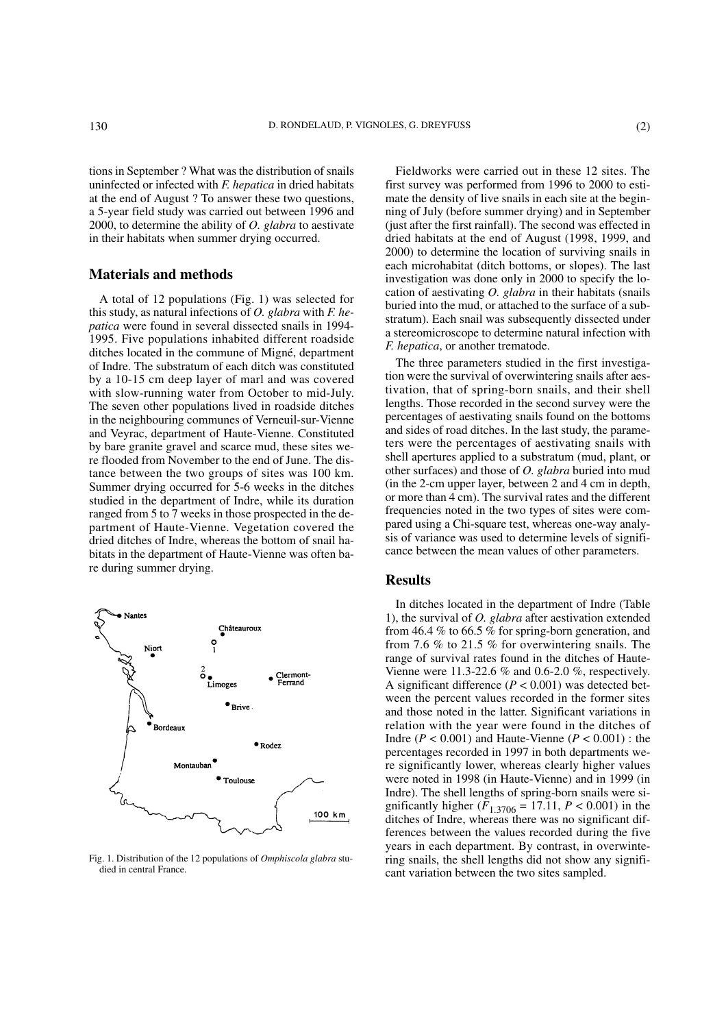tions in September ? What was the distribution of snails uninfected or infected with *F. hepatica* in dried habitats at the end of August ? To answer these two questions, a 5-year field study was carried out between 1996 and 2000, to determine the ability of *O. glabra* to aestivate in their habitats when summer drying occurred.

## **Materials and methods**

A total of 12 populations (Fig. 1) was selected for this study, as natural infections of *O. glabra* with *F. hepatica* were found in several dissected snails in 1994- 1995. Five populations inhabited different roadside ditches located in the commune of Migné, department of Indre. The substratum of each ditch was constituted by a 10-15 cm deep layer of marl and was covered with slow-running water from October to mid-July. The seven other populations lived in roadside ditches in the neighbouring communes of Verneuil-sur-Vienne and Veyrac, department of Haute-Vienne. Constituted by bare granite gravel and scarce mud, these sites were flooded from November to the end of June. The distance between the two groups of sites was 100 km. Summer drying occurred for 5-6 weeks in the ditches studied in the department of Indre, while its duration ranged from 5 to 7 weeks in those prospected in the department of Haute-Vienne. Vegetation covered the dried ditches of Indre, whereas the bottom of snail habitats in the department of Haute-Vienne was often bare during summer drying.



Fig. 1. Distribution of the 12 populations of *Omphiscola glabra* studied in central France.

Fieldworks were carried out in these 12 sites. The first survey was performed from 1996 to 2000 to estimate the density of live snails in each site at the beginning of July (before summer drying) and in September (just after the first rainfall). The second was effected in dried habitats at the end of August (1998, 1999, and 2000) to determine the location of surviving snails in each microhabitat (ditch bottoms, or slopes). The last investigation was done only in 2000 to specify the location of aestivating *O. glabra* in their habitats (snails buried into the mud, or attached to the surface of a substratum). Each snail was subsequently dissected under a stereomicroscope to determine natural infection with *F. hepatica*, or another trematode.

The three parameters studied in the first investigation were the survival of overwintering snails after aestivation, that of spring-born snails, and their shell lengths. Those recorded in the second survey were the percentages of aestivating snails found on the bottoms and sides of road ditches. In the last study, the parameters were the percentages of aestivating snails with shell apertures applied to a substratum (mud, plant, or other surfaces) and those of *O. glabra* buried into mud (in the 2-cm upper layer, between 2 and 4 cm in depth, or more than 4 cm). The survival rates and the different frequencies noted in the two types of sites were compared using a Chi-square test, whereas one-way analysis of variance was used to determine levels of significance between the mean values of other parameters.

#### **Results**

In ditches located in the department of Indre (Table 1), the survival of *O. glabra* after aestivation extended from 46.4 % to 66.5 % for spring-born generation, and from 7.6 % to 21.5 % for overwintering snails. The range of survival rates found in the ditches of Haute-Vienne were 11.3-22.6 % and 0.6-2.0 %, respectively. A significant difference  $(P < 0.001)$  was detected between the percent values recorded in the former sites and those noted in the latter. Significant variations in relation with the year were found in the ditches of Indre ( $P < 0.001$ ) and Haute-Vienne ( $P < 0.001$ ) : the percentages recorded in 1997 in both departments were significantly lower, whereas clearly higher values were noted in 1998 (in Haute-Vienne) and in 1999 (in Indre). The shell lengths of spring-born snails were significantly higher  $(F_{1,3706} = 17.11, P < 0.001)$  in the ditches of Indre, whereas there was no significant differences between the values recorded during the five years in each department. By contrast, in overwintering snails, the shell lengths did not show any significant variation between the two sites sampled.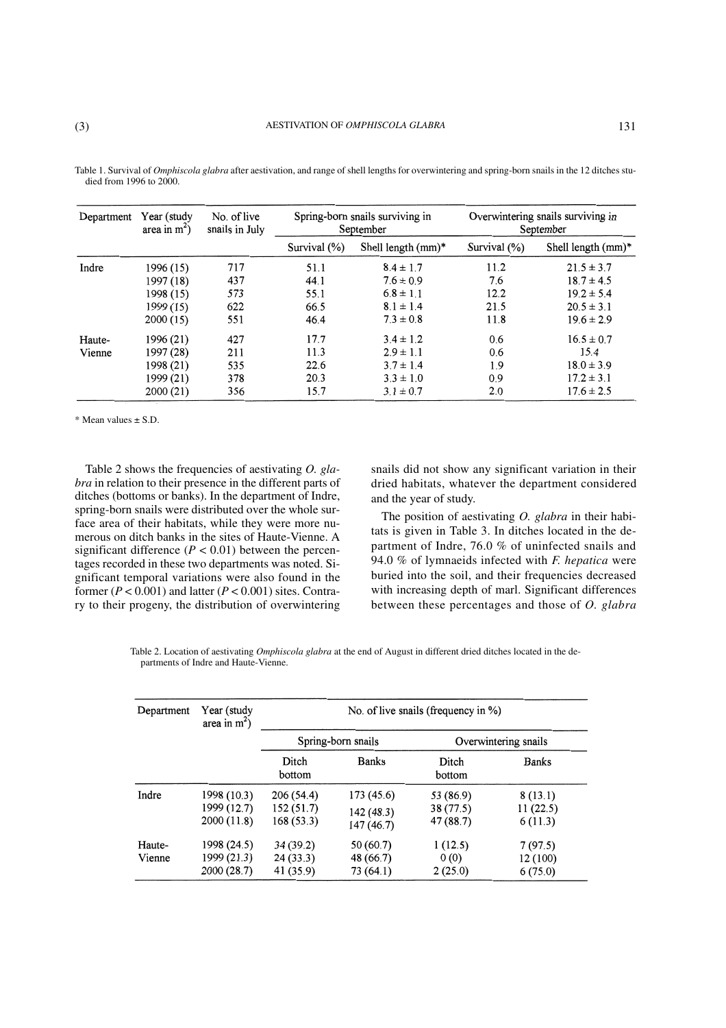Table 1. Survival of *Omphiscola glabra* after aestivation, and range of shell lengths for overwintering and spring-born snails in the 12 ditches studied from 1996 to 2000.

| Department | Year (study<br>area in $m2$ ) | No. of live<br>snails in July | Spring-born snails surviving in<br>September |                       | Overwintering snails surviving in<br>September |                       |
|------------|-------------------------------|-------------------------------|----------------------------------------------|-----------------------|------------------------------------------------|-----------------------|
|            |                               |                               | Survival $(\%)$                              | Shell length $(mm)^*$ | Survival $(\%)$                                | Shell length $(mm)^*$ |
| Indre      | 1996 (15)                     | 717                           | 51.1                                         | $8.4 \pm 1.7$         | 11.2                                           | $21.5 \pm 3.7$        |
|            | 1997 (18)                     | 437                           | 44.1                                         | $7.6 \pm 0.9$         | 7.6                                            | $18.7 \pm 4.5$        |
|            | 1998 (15)                     | 573                           | 55.1                                         | $6.8 \pm 1.1$         | 12.2                                           | $19.2 \pm 5.4$        |
|            | 1999 (15)                     | 622                           | 66.5                                         | $8.1 \pm 1.4$         | 21.5                                           | $20.5 \pm 3.1$        |
|            | 2000(15)                      | 551                           | 46.4                                         | $7.3 \pm 0.8$         | 11.8                                           | $19.6 \pm 2.9$        |
| Haute-     | 1996 (21)                     | 427                           | 17.7                                         | $3.4 \pm 1.2$         | 0.6                                            | $16.5 \pm 0.7$        |
| Vienne     | 1997 (28)                     | 211                           | 11.3                                         | $2.9 \pm 1.1$         | 0.6                                            | 15.4                  |
|            | 1998 (21)                     | 535                           | 22.6                                         | $3.7 \pm 1.4$         | 1.9                                            | $18.0 \pm 3.9$        |
|            | 1999 (21)                     | 378                           | 20.3                                         | $3.3 \pm 1.0$         | 0.9                                            | $17.2 \pm 3.1$        |
|            | 2000(21)                      | 356                           | 15.7                                         | $3.1 \pm 0.7$         | 2.0                                            | $17.6 \pm 2.5$        |

\* Mean values ± S.D.

Table 2 shows the frequencies of aestivating *O. glabra* in relation to their presence in the different parts of ditches (bottoms or banks). In the department of Indre, spring-born snails were distributed over the whole surface area of their habitats, while they were more numerous on ditch banks in the sites of Haute-Vienne. A significant difference  $(P < 0.01)$  between the percentages recorded in these two departments was noted. Significant temporal variations were also found in the former  $(P < 0.001)$  and latter  $(P < 0.001)$  sites. Contrary to their progeny, the distribution of overwintering snails did not show any significant variation in their dried habitats, whatever the department considered and the year of study.

The position of aestivating *O. glabra* in their habitats is given in Table 3. In ditches located in the department of Indre, 76.0 % of uninfected snails and 94.0 % of lymnaeids infected with *F. hepatica* were buried into the soil, and their frequencies decreased with increasing depth of marl. Significant differences between these percentages and those of *O. glabra*

Table 2. Location of aestivating *Omphiscola glabra* at the end of August in different dried ditches located in the departments of Indre and Haute-Vienne.

| Department       | Year (study<br>area in $m2$ )             | No. of live snails (frequency in %) |                                       |                                    |                                |  |
|------------------|-------------------------------------------|-------------------------------------|---------------------------------------|------------------------------------|--------------------------------|--|
|                  |                                           | Spring-born snails                  |                                       | Overwintering snails               |                                |  |
|                  |                                           | Ditch<br>bottom                     | <b>Banks</b>                          | Ditch<br>bottom                    | <b>Banks</b>                   |  |
| Indre            | 1998 (10.3)<br>1999 (12.7)<br>2000(11.8)  | 206(54.4)<br>152(51.7)<br>168(53.3) | 173(45.6)<br>142 (48.3)<br>147 (46.7) | 53 (86.9)<br>38 (77.5)<br>47(88.7) | 8(13.1)<br>11(22.5)<br>6(11.3) |  |
| Haute-<br>Vienne | 1998 (24.5)<br>1999 (21.3)<br>2000 (28.7) | 34(39.2)<br>24(33.3)<br>41 (35.9)   | 50(60.7)<br>48 (66.7)<br>73 (64.1)    | 1(12.5)<br>0(0)<br>2(25.0)         | 7(97.5)<br>12 (100)<br>6(75.0) |  |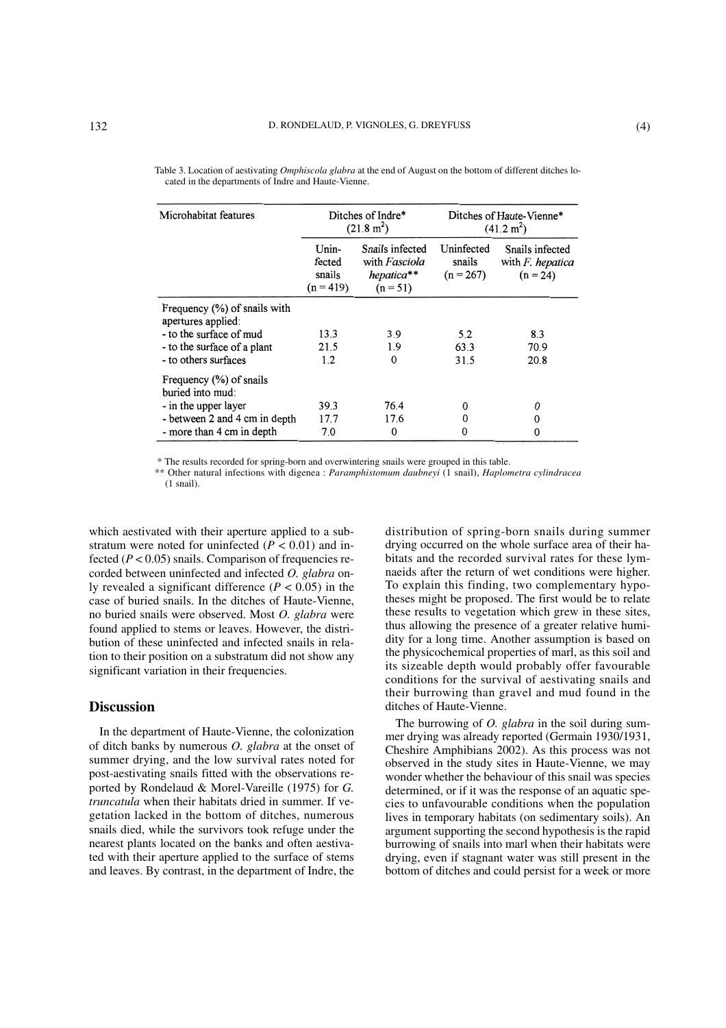| Microhabitat features                                 | Ditches of Indre*<br>$(21.8 \text{ m}^2)$ |                                                              | Ditches of Haute-Vienne*<br>(41.2 m <sup>2</sup> ) |                                                             |
|-------------------------------------------------------|-------------------------------------------|--------------------------------------------------------------|----------------------------------------------------|-------------------------------------------------------------|
|                                                       | Unin-<br>fected<br>snails<br>$(n = 419)$  | Snails infected<br>with Fasciola<br>hepatica**<br>$(n = 51)$ | Uninfected<br>snails<br>$(n = 267)$                | Snails infected<br>with $F$ . <i>hepatica</i><br>$(n = 24)$ |
| Frequency $(\%)$ of snails with<br>apertures applied: |                                           |                                                              |                                                    |                                                             |
| - to the surface of mud                               | 13.3                                      | 3.9                                                          | 5.2                                                | 8.3                                                         |
| - to the surface of a plant                           | 21.5                                      | 1.9                                                          | 63.3                                               | 70.9                                                        |
| - to others surfaces                                  | 1.2                                       | $\Omega$                                                     | 31.5                                               | 20.8                                                        |
| Frequency $(\%)$ of snails<br>buried into mud:        |                                           |                                                              |                                                    |                                                             |
| - in the upper layer                                  | 39.3                                      | 76.4                                                         | 0                                                  | 0                                                           |
| - between 2 and 4 cm in depth                         | 17.7                                      | 17.6                                                         | 0                                                  | 0                                                           |
| - more than 4 cm in depth                             | 7.0                                       | 0                                                            | 0                                                  | $\Omega$                                                    |

| Table 3. Location of aestivating <i>Omphiscola glabra</i> at the end of August on the bottom of different ditches lo- |  |
|-----------------------------------------------------------------------------------------------------------------------|--|
| cated in the departments of Indre and Haute-Vienne.                                                                   |  |

\* The results recorded for spring-born and overwintering snails were grouped in this table.

\*\* Other natural infections with digenea : *Paramphistomum daubneyi* (1 snail), *Haplometra cylindracea* (1 snail).

which aestivated with their aperture applied to a substratum were noted for uninfected  $(P < 0.01)$  and infected ( $P < 0.05$ ) snails. Comparison of frequencies recorded between uninfected and infected *O. glabra* only revealed a significant difference  $(P < 0.05)$  in the case of buried snails. In the ditches of Haute-Vienne, no buried snails were observed. Most *O. glabra* were found applied to stems or leaves. However, the distribution of these uninfected and infected snails in relation to their position on a substratum did not show any significant variation in their frequencies.

### **Discussion**

In the department of Haute-Vienne, the colonization of ditch banks by numerous *O. glabra* at the onset of summer drying, and the low survival rates noted for post-aestivating snails fitted with the observations reported by Rondelaud & Morel-Vareille (1975) for *G. truncatula* when their habitats dried in summer. If vegetation lacked in the bottom of ditches, numerous snails died, while the survivors took refuge under the nearest plants located on the banks and often aestivated with their aperture applied to the surface of stems and leaves. By contrast, in the department of Indre, the distribution of spring-born snails during summer drying occurred on the whole surface area of their habitats and the recorded survival rates for these lymnaeids after the return of wet conditions were higher. To explain this finding, two complementary hypotheses might be proposed. The first would be to relate these results to vegetation which grew in these sites, thus allowing the presence of a greater relative humidity for a long time. Another assumption is based on the physicochemical properties of marl, as this soil and its sizeable depth would probably offer favourable conditions for the survival of aestivating snails and their burrowing than gravel and mud found in the ditches of Haute-Vienne.

The burrowing of *O. glabra* in the soil during summer drying was already reported (Germain 1930/1931, Cheshire Amphibians 2002). As this process was not observed in the study sites in Haute-Vienne, we may wonder whether the behaviour of this snail was species determined, or if it was the response of an aquatic species to unfavourable conditions when the population lives in temporary habitats (on sedimentary soils). An argument supporting the second hypothesis is the rapid burrowing of snails into marl when their habitats were drying, even if stagnant water was still present in the bottom of ditches and could persist for a week or more